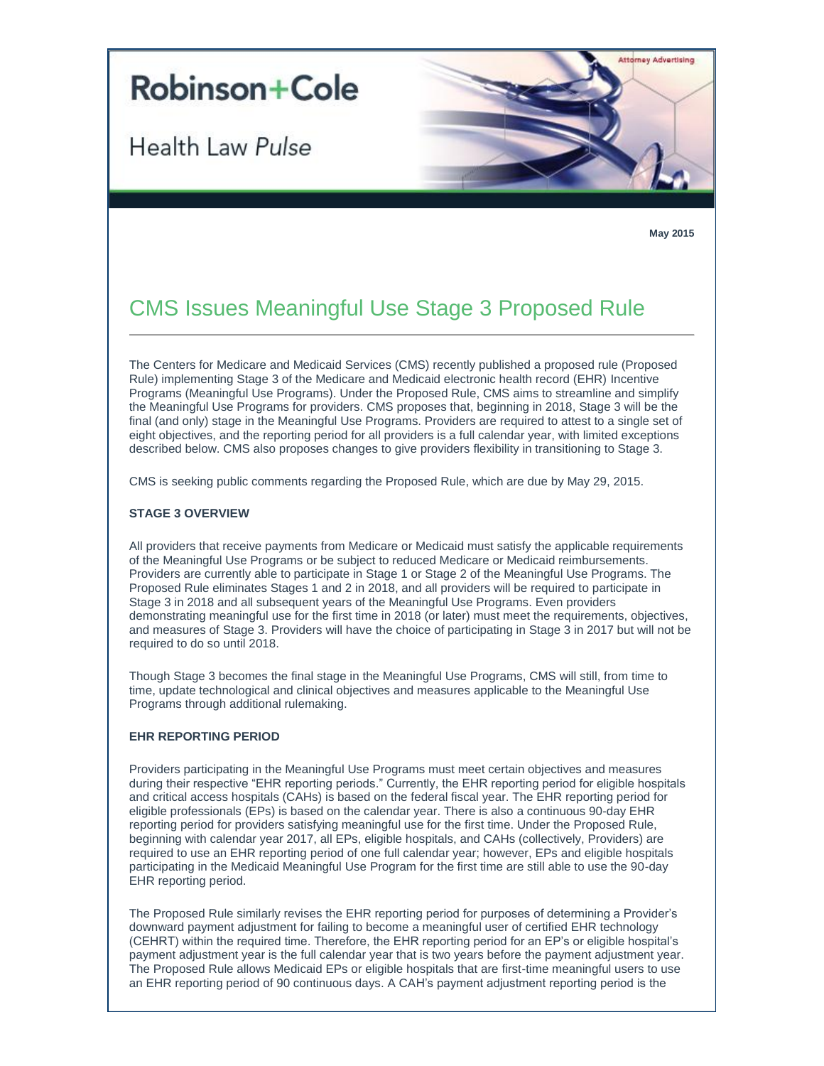# **Robinson+Cole**

Health Law Pulse



**May 2015**

# CMS Issues Meaningful Use Stage 3 Proposed Rule

The Centers for Medicare and Medicaid Services (CMS) recently published a proposed rule (Proposed Rule) implementing Stage 3 of the Medicare and Medicaid electronic health record (EHR) Incentive Programs (Meaningful Use Programs). Under the Proposed Rule, CMS aims to streamline and simplify the Meaningful Use Programs for providers. CMS proposes that, beginning in 2018, Stage 3 will be the final (and only) stage in the Meaningful Use Programs. Providers are required to attest to a single set of eight objectives, and the reporting period for all providers is a full calendar year, with limited exceptions described below. CMS also proposes changes to give providers flexibility in transitioning to Stage 3.

CMS is seeking public comments regarding the Proposed Rule, which are due by May 29, 2015.

# **STAGE 3 OVERVIEW**

All providers that receive payments from Medicare or Medicaid must satisfy the applicable requirements of the Meaningful Use Programs or be subject to reduced Medicare or Medicaid reimbursements. Providers are currently able to participate in Stage 1 or Stage 2 of the Meaningful Use Programs. The Proposed Rule eliminates Stages 1 and 2 in 2018, and all providers will be required to participate in Stage 3 in 2018 and all subsequent years of the Meaningful Use Programs. Even providers demonstrating meaningful use for the first time in 2018 (or later) must meet the requirements, objectives, and measures of Stage 3. Providers will have the choice of participating in Stage 3 in 2017 but will not be required to do so until 2018.

Though Stage 3 becomes the final stage in the Meaningful Use Programs, CMS will still, from time to time, update technological and clinical objectives and measures applicable to the Meaningful Use Programs through additional rulemaking.

# **EHR REPORTING PERIOD**

Providers participating in the Meaningful Use Programs must meet certain objectives and measures during their respective "EHR reporting periods." Currently, the EHR reporting period for eligible hospitals and critical access hospitals (CAHs) is based on the federal fiscal year. The EHR reporting period for eligible professionals (EPs) is based on the calendar year. There is also a continuous 90-day EHR reporting period for providers satisfying meaningful use for the first time. Under the Proposed Rule, beginning with calendar year 2017, all EPs, eligible hospitals, and CAHs (collectively, Providers) are required to use an EHR reporting period of one full calendar year; however, EPs and eligible hospitals participating in the Medicaid Meaningful Use Program for the first time are still able to use the 90-day EHR reporting period.

The Proposed Rule similarly revises the EHR reporting period for purposes of determining a Provider's downward payment adjustment for failing to become a meaningful user of certified EHR technology (CEHRT) within the required time. Therefore, the EHR reporting period for an EP's or eligible hospital's payment adjustment year is the full calendar year that is two years before the payment adjustment year. The Proposed Rule allows Medicaid EPs or eligible hospitals that are first-time meaningful users to use an EHR reporting period of 90 continuous days. A CAH's payment adjustment reporting period is the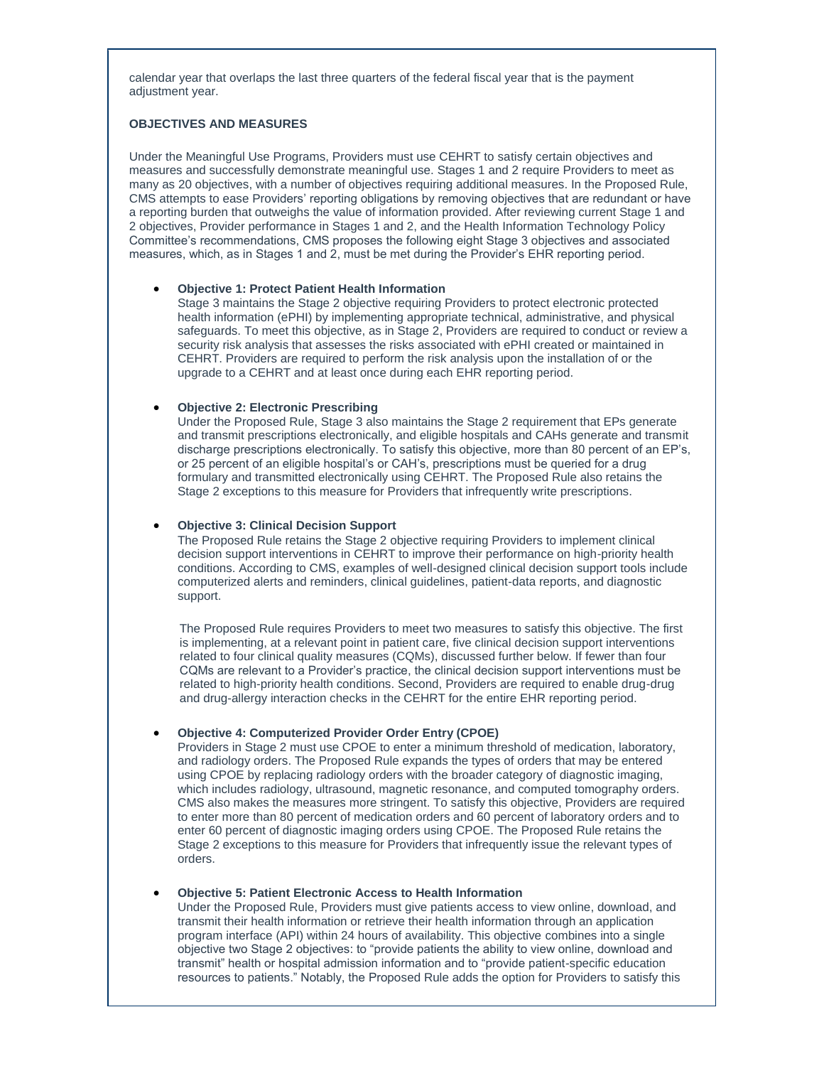calendar year that overlaps the last three quarters of the federal fiscal year that is the payment adiustment year.

# **OBJECTIVES AND MEASURES**

Under the Meaningful Use Programs, Providers must use CEHRT to satisfy certain objectives and measures and successfully demonstrate meaningful use. Stages 1 and 2 require Providers to meet as many as 20 objectives, with a number of objectives requiring additional measures. In the Proposed Rule, CMS attempts to ease Providers' reporting obligations by removing objectives that are redundant or have a reporting burden that outweighs the value of information provided. After reviewing current Stage 1 and 2 objectives, Provider performance in Stages 1 and 2, and the Health Information Technology Policy Committee's recommendations, CMS proposes the following eight Stage 3 objectives and associated measures, which, as in Stages 1 and 2, must be met during the Provider's EHR reporting period.

#### **Objective 1: Protect Patient Health Information**

Stage 3 maintains the Stage 2 objective requiring Providers to protect electronic protected health information (ePHI) by implementing appropriate technical, administrative, and physical safeguards. To meet this objective, as in Stage 2, Providers are required to conduct or review a security risk analysis that assesses the risks associated with ePHI created or maintained in CEHRT. Providers are required to perform the risk analysis upon the installation of or the upgrade to a CEHRT and at least once during each EHR reporting period.

#### **Objective 2: Electronic Prescribing**

Under the Proposed Rule, Stage 3 also maintains the Stage 2 requirement that EPs generate and transmit prescriptions electronically, and eligible hospitals and CAHs generate and transmit discharge prescriptions electronically. To satisfy this objective, more than 80 percent of an EP's, or 25 percent of an eligible hospital's or CAH's, prescriptions must be queried for a drug formulary and transmitted electronically using CEHRT. The Proposed Rule also retains the Stage 2 exceptions to this measure for Providers that infrequently write prescriptions.

#### **Objective 3: Clinical Decision Support**

The Proposed Rule retains the Stage 2 objective requiring Providers to implement clinical decision support interventions in CEHRT to improve their performance on high-priority health conditions. According to CMS, examples of well-designed clinical decision support tools include computerized alerts and reminders, clinical guidelines, patient-data reports, and diagnostic support.

The Proposed Rule requires Providers to meet two measures to satisfy this objective. The first is implementing, at a relevant point in patient care, five clinical decision support interventions related to four clinical quality measures (CQMs), discussed further below. If fewer than four CQMs are relevant to a Provider's practice, the clinical decision support interventions must be related to high-priority health conditions. Second, Providers are required to enable drug-drug and drug-allergy interaction checks in the CEHRT for the entire EHR reporting period.

# **Objective 4: Computerized Provider Order Entry (CPOE)**

Providers in Stage 2 must use CPOE to enter a minimum threshold of medication, laboratory, and radiology orders. The Proposed Rule expands the types of orders that may be entered using CPOE by replacing radiology orders with the broader category of diagnostic imaging, which includes radiology, ultrasound, magnetic resonance, and computed tomography orders. CMS also makes the measures more stringent. To satisfy this objective, Providers are required to enter more than 80 percent of medication orders and 60 percent of laboratory orders and to enter 60 percent of diagnostic imaging orders using CPOE. The Proposed Rule retains the Stage 2 exceptions to this measure for Providers that infrequently issue the relevant types of orders.

#### **Objective 5: Patient Electronic Access to Health Information**

Under the Proposed Rule, Providers must give patients access to view online, download, and transmit their health information or retrieve their health information through an application program interface (API) within 24 hours of availability. This objective combines into a single objective two Stage 2 objectives: to "provide patients the ability to view online, download and transmit" health or hospital admission information and to "provide patient-specific education resources to patients." Notably, the Proposed Rule adds the option for Providers to satisfy this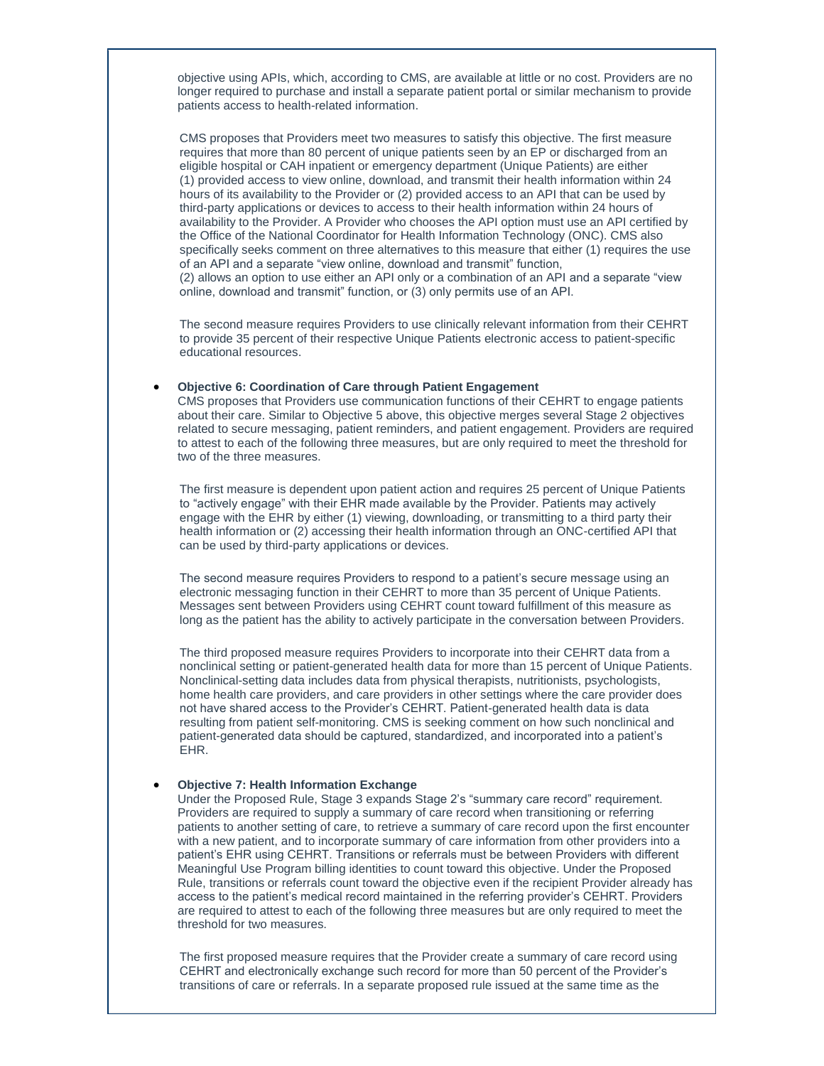objective using APIs, which, according to CMS, are available at little or no cost. Providers are no longer required to purchase and install a separate patient portal or similar mechanism to provide patients access to health-related information.

CMS proposes that Providers meet two measures to satisfy this objective. The first measure requires that more than 80 percent of unique patients seen by an EP or discharged from an eligible hospital or CAH inpatient or emergency department (Unique Patients) are either (1) provided access to view online, download, and transmit their health information within 24 hours of its availability to the Provider or (2) provided access to an API that can be used by third-party applications or devices to access to their health information within 24 hours of availability to the Provider. A Provider who chooses the API option must use an API certified by the Office of the National Coordinator for Health Information Technology (ONC). CMS also specifically seeks comment on three alternatives to this measure that either (1) requires the use of an API and a separate "view online, download and transmit" function, (2) allows an option to use either an API only or a combination of an API and a separate "view online, download and transmit" function, or (3) only permits use of an API.

The second measure requires Providers to use clinically relevant information from their CEHRT to provide 35 percent of their respective Unique Patients electronic access to patient-specific educational resources.

# **Objective 6: Coordination of Care through Patient Engagement**

CMS proposes that Providers use communication functions of their CEHRT to engage patients about their care. Similar to Objective 5 above, this objective merges several Stage 2 objectives related to secure messaging, patient reminders, and patient engagement. Providers are required to attest to each of the following three measures, but are only required to meet the threshold for two of the three measures.

The first measure is dependent upon patient action and requires 25 percent of Unique Patients to "actively engage" with their EHR made available by the Provider. Patients may actively engage with the EHR by either (1) viewing, downloading, or transmitting to a third party their health information or (2) accessing their health information through an ONC-certified API that can be used by third-party applications or devices.

The second measure requires Providers to respond to a patient's secure message using an electronic messaging function in their CEHRT to more than 35 percent of Unique Patients. Messages sent between Providers using CEHRT count toward fulfillment of this measure as long as the patient has the ability to actively participate in the conversation between Providers.

The third proposed measure requires Providers to incorporate into their CEHRT data from a nonclinical setting or patient-generated health data for more than 15 percent of Unique Patients. Nonclinical-setting data includes data from physical therapists, nutritionists, psychologists, home health care providers, and care providers in other settings where the care provider does not have shared access to the Provider's CEHRT. Patient-generated health data is data resulting from patient self-monitoring. CMS is seeking comment on how such nonclinical and patient-generated data should be captured, standardized, and incorporated into a patient's EHR.

#### **Objective 7: Health Information Exchange**

Under the Proposed Rule, Stage 3 expands Stage 2's "summary care record" requirement. Providers are required to supply a summary of care record when transitioning or referring patients to another setting of care, to retrieve a summary of care record upon the first encounter with a new patient, and to incorporate summary of care information from other providers into a patient's EHR using CEHRT. Transitions or referrals must be between Providers with different Meaningful Use Program billing identities to count toward this objective. Under the Proposed Rule, transitions or referrals count toward the objective even if the recipient Provider already has access to the patient's medical record maintained in the referring provider's CEHRT. Providers are required to attest to each of the following three measures but are only required to meet the threshold for two measures.

The first proposed measure requires that the Provider create a summary of care record using CEHRT and electronically exchange such record for more than 50 percent of the Provider's transitions of care or referrals. In a separate proposed rule issued at the same time as the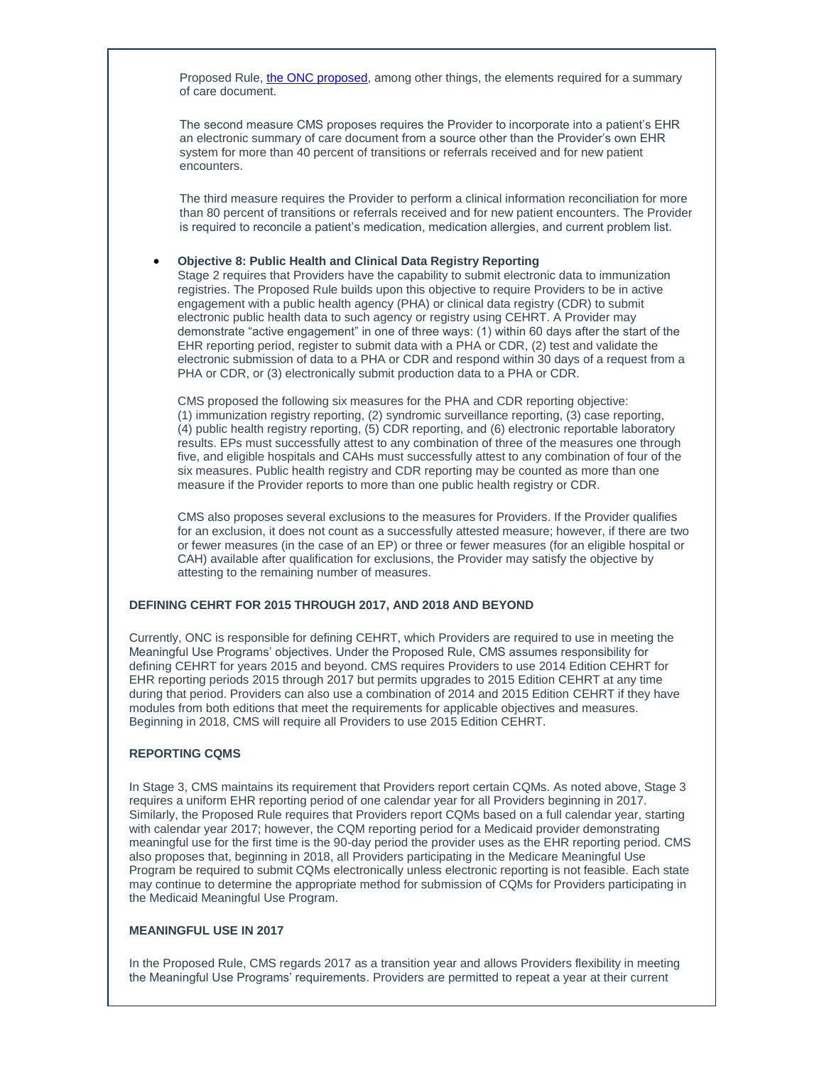Proposed Rule, [the ONC proposed,](http://t2806904.omkt.co/track.aspx?id=402|2AD478|6F10|19C|A38|0|B49|1|2108A74F&destination=http%3a%2f%2fwww.gpo.gov%2ffdsys%2fpkg%2fFR-2015-03-30%2fpdf%2f2015-06612.pdf&dchk=7CC4D98E) among other things, the elements required for a summary of care document.

The second measure CMS proposes requires the Provider to incorporate into a patient's EHR an electronic summary of care document from a source other than the Provider's own EHR system for more than 40 percent of transitions or referrals received and for new patient encounters.

The third measure requires the Provider to perform a clinical information reconciliation for more than 80 percent of transitions or referrals received and for new patient encounters. The Provider is required to reconcile a patient's medication, medication allergies, and current problem list.

#### **Objective 8: Public Health and Clinical Data Registry Reporting**

Stage 2 requires that Providers have the capability to submit electronic data to immunization registries. The Proposed Rule builds upon this objective to require Providers to be in active engagement with a public health agency (PHA) or clinical data registry (CDR) to submit electronic public health data to such agency or registry using CEHRT. A Provider may demonstrate "active engagement" in one of three ways: (1) within 60 days after the start of the EHR reporting period, register to submit data with a PHA or CDR, (2) test and validate the electronic submission of data to a PHA or CDR and respond within 30 days of a request from a PHA or CDR, or (3) electronically submit production data to a PHA or CDR.

CMS proposed the following six measures for the PHA and CDR reporting objective: (1) immunization registry reporting, (2) syndromic surveillance reporting, (3) case reporting, (4) public health registry reporting, (5) CDR reporting, and (6) electronic reportable laboratory results. EPs must successfully attest to any combination of three of the measures one through five, and eligible hospitals and CAHs must successfully attest to any combination of four of the six measures. Public health registry and CDR reporting may be counted as more than one measure if the Provider reports to more than one public health registry or CDR.

CMS also proposes several exclusions to the measures for Providers. If the Provider qualifies for an exclusion, it does not count as a successfully attested measure; however, if there are two or fewer measures (in the case of an EP) or three or fewer measures (for an eligible hospital or CAH) available after qualification for exclusions, the Provider may satisfy the objective by attesting to the remaining number of measures.

#### **DEFINING CEHRT FOR 2015 THROUGH 2017, AND 2018 AND BEYOND**

Currently, ONC is responsible for defining CEHRT, which Providers are required to use in meeting the Meaningful Use Programs' objectives. Under the Proposed Rule, CMS assumes responsibility for defining CEHRT for years 2015 and beyond. CMS requires Providers to use 2014 Edition CEHRT for EHR reporting periods 2015 through 2017 but permits upgrades to 2015 Edition CEHRT at any time during that period. Providers can also use a combination of 2014 and 2015 Edition CEHRT if they have modules from both editions that meet the requirements for applicable objectives and measures. Beginning in 2018, CMS will require all Providers to use 2015 Edition CEHRT.

# **REPORTING CQMS**

In Stage 3, CMS maintains its requirement that Providers report certain CQMs. As noted above, Stage 3 requires a uniform EHR reporting period of one calendar year for all Providers beginning in 2017. Similarly, the Proposed Rule requires that Providers report CQMs based on a full calendar year, starting with calendar year 2017; however, the CQM reporting period for a Medicaid provider demonstrating meaningful use for the first time is the 90-day period the provider uses as the EHR reporting period. CMS also proposes that, beginning in 2018, all Providers participating in the Medicare Meaningful Use Program be required to submit CQMs electronically unless electronic reporting is not feasible. Each state may continue to determine the appropriate method for submission of CQMs for Providers participating in the Medicaid Meaningful Use Program.

#### **MEANINGFUL USE IN 2017**

In the Proposed Rule, CMS regards 2017 as a transition year and allows Providers flexibility in meeting the Meaningful Use Programs' requirements. Providers are permitted to repeat a year at their current